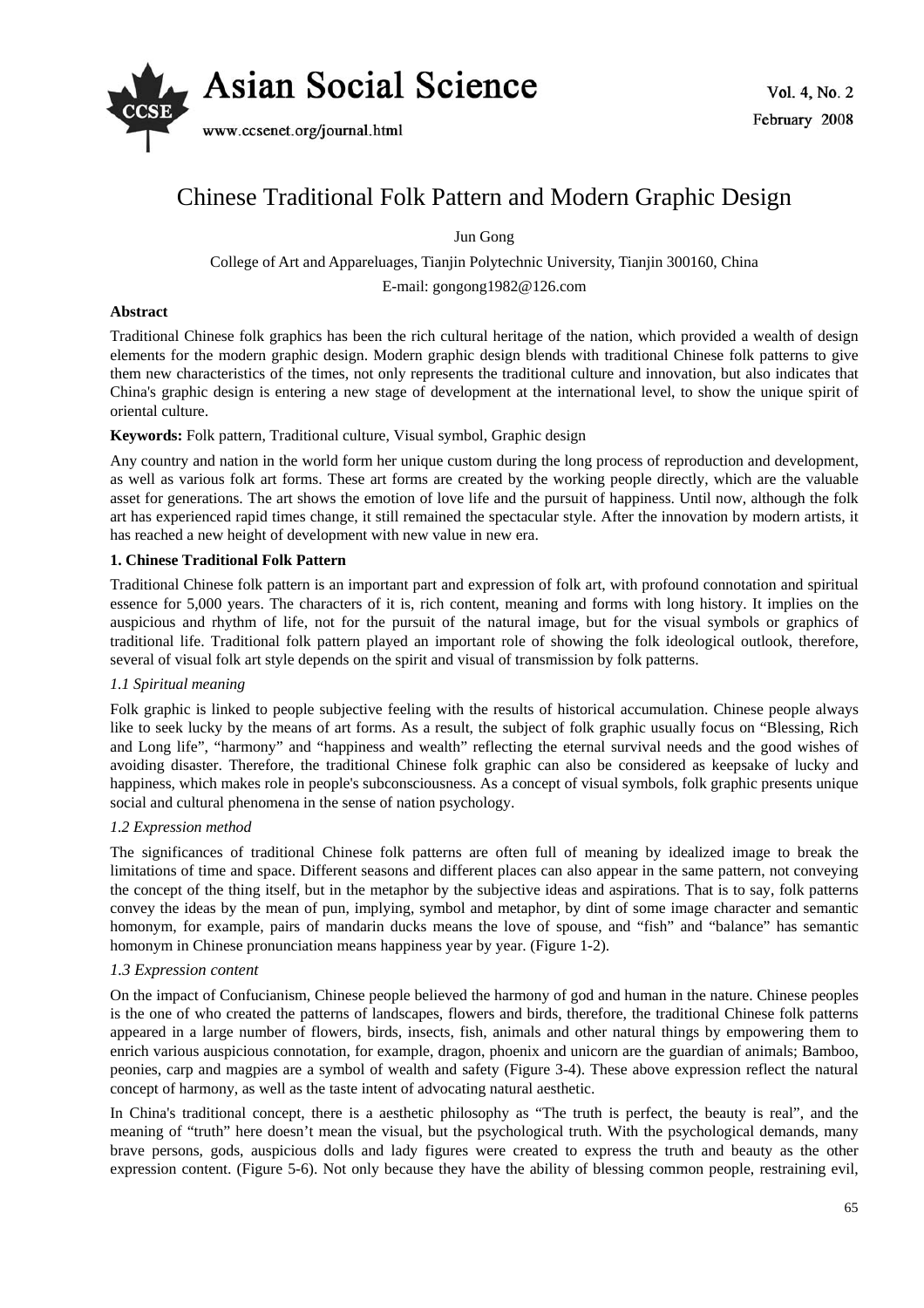

# Chinese Traditional Folk Pattern and Modern Graphic Design

Jun Gong

College of Art and Appareluages, Tianjin Polytechnic University, Tianjin 300160, China

E-mail: gongong1982@126.com

## **Abstract**

Traditional Chinese folk graphics has been the rich cultural heritage of the nation, which provided a wealth of design elements for the modern graphic design. Modern graphic design blends with traditional Chinese folk patterns to give them new characteristics of the times, not only represents the traditional culture and innovation, but also indicates that China's graphic design is entering a new stage of development at the international level, to show the unique spirit of oriental culture.

## **Keywords:** Folk pattern, Traditional culture, Visual symbol, Graphic design

Any country and nation in the world form her unique custom during the long process of reproduction and development, as well as various folk art forms. These art forms are created by the working people directly, which are the valuable asset for generations. The art shows the emotion of love life and the pursuit of happiness. Until now, although the folk art has experienced rapid times change, it still remained the spectacular style. After the innovation by modern artists, it has reached a new height of development with new value in new era.

## **1. Chinese Traditional Folk Pattern**

Traditional Chinese folk pattern is an important part and expression of folk art, with profound connotation and spiritual essence for 5,000 years. The characters of it is, rich content, meaning and forms with long history. It implies on the auspicious and rhythm of life, not for the pursuit of the natural image, but for the visual symbols or graphics of traditional life. Traditional folk pattern played an important role of showing the folk ideological outlook, therefore, several of visual folk art style depends on the spirit and visual of transmission by folk patterns.

## *1.1 Spiritual meaning*

Folk graphic is linked to people subjective feeling with the results of historical accumulation. Chinese people always like to seek lucky by the means of art forms. As a result, the subject of folk graphic usually focus on "Blessing, Rich and Long life", "harmony" and "happiness and wealth" reflecting the eternal survival needs and the good wishes of avoiding disaster. Therefore, the traditional Chinese folk graphic can also be considered as keepsake of lucky and happiness, which makes role in people's subconsciousness. As a concept of visual symbols, folk graphic presents unique social and cultural phenomena in the sense of nation psychology.

## *1.2 Expression method*

The significances of traditional Chinese folk patterns are often full of meaning by idealized image to break the limitations of time and space. Different seasons and different places can also appear in the same pattern, not conveying the concept of the thing itself, but in the metaphor by the subjective ideas and aspirations. That is to say, folk patterns convey the ideas by the mean of pun, implying, symbol and metaphor, by dint of some image character and semantic homonym, for example, pairs of mandarin ducks means the love of spouse, and "fish" and "balance" has semantic homonym in Chinese pronunciation means happiness year by year. (Figure 1-2).

## *1.3 Expression content*

On the impact of Confucianism, Chinese people believed the harmony of god and human in the nature. Chinese peoples is the one of who created the patterns of landscapes, flowers and birds, therefore, the traditional Chinese folk patterns appeared in a large number of flowers, birds, insects, fish, animals and other natural things by empowering them to enrich various auspicious connotation, for example, dragon, phoenix and unicorn are the guardian of animals; Bamboo, peonies, carp and magpies are a symbol of wealth and safety (Figure 3-4). These above expression reflect the natural concept of harmony, as well as the taste intent of advocating natural aesthetic.

In China's traditional concept, there is a aesthetic philosophy as "The truth is perfect, the beauty is real", and the meaning of "truth" here doesn't mean the visual, but the psychological truth. With the psychological demands, many brave persons, gods, auspicious dolls and lady figures were created to express the truth and beauty as the other expression content. (Figure 5-6). Not only because they have the ability of blessing common people, restraining evil,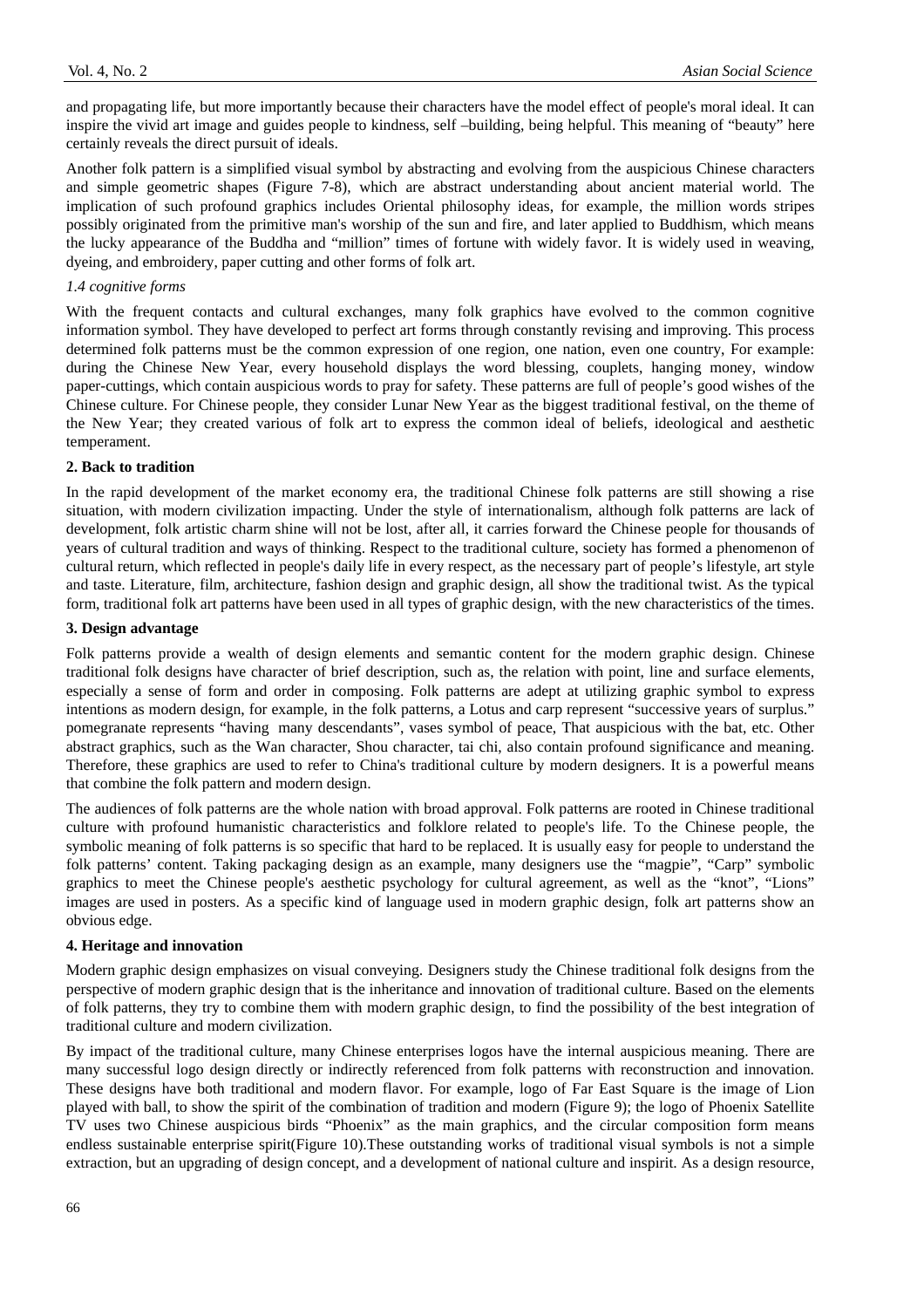and propagating life, but more importantly because their characters have the model effect of people's moral ideal. It can inspire the vivid art image and guides people to kindness, self –building, being helpful. This meaning of "beauty" here certainly reveals the direct pursuit of ideals.

Another folk pattern is a simplified visual symbol by abstracting and evolving from the auspicious Chinese characters and simple geometric shapes (Figure 7-8), which are abstract understanding about ancient material world. The implication of such profound graphics includes Oriental philosophy ideas, for example, the million words stripes possibly originated from the primitive man's worship of the sun and fire, and later applied to Buddhism, which means the lucky appearance of the Buddha and "million" times of fortune with widely favor. It is widely used in weaving, dyeing, and embroidery, paper cutting and other forms of folk art.

#### *1.4 cognitive forms*

With the frequent contacts and cultural exchanges, many folk graphics have evolved to the common cognitive information symbol. They have developed to perfect art forms through constantly revising and improving. This process determined folk patterns must be the common expression of one region, one nation, even one country, For example: during the Chinese New Year, every household displays the word blessing, couplets, hanging money, window paper-cuttings, which contain auspicious words to pray for safety. These patterns are full of people's good wishes of the Chinese culture. For Chinese people, they consider Lunar New Year as the biggest traditional festival, on the theme of the New Year; they created various of folk art to express the common ideal of beliefs, ideological and aesthetic temperament.

#### **2. Back to tradition**

In the rapid development of the market economy era, the traditional Chinese folk patterns are still showing a rise situation, with modern civilization impacting. Under the style of internationalism, although folk patterns are lack of development, folk artistic charm shine will not be lost, after all, it carries forward the Chinese people for thousands of years of cultural tradition and ways of thinking. Respect to the traditional culture, society has formed a phenomenon of cultural return, which reflected in people's daily life in every respect, as the necessary part of people's lifestyle, art style and taste. Literature, film, architecture, fashion design and graphic design, all show the traditional twist. As the typical form, traditional folk art patterns have been used in all types of graphic design, with the new characteristics of the times.

#### **3. Design advantage**

Folk patterns provide a wealth of design elements and semantic content for the modern graphic design. Chinese traditional folk designs have character of brief description, such as, the relation with point, line and surface elements, especially a sense of form and order in composing. Folk patterns are adept at utilizing graphic symbol to express intentions as modern design, for example, in the folk patterns, a Lotus and carp represent "successive years of surplus." pomegranate represents "having many descendants", vases symbol of peace, That auspicious with the bat, etc. Other abstract graphics, such as the Wan character, Shou character, tai chi, also contain profound significance and meaning. Therefore, these graphics are used to refer to China's traditional culture by modern designers. It is a powerful means that combine the folk pattern and modern design.

The audiences of folk patterns are the whole nation with broad approval. Folk patterns are rooted in Chinese traditional culture with profound humanistic characteristics and folklore related to people's life. To the Chinese people, the symbolic meaning of folk patterns is so specific that hard to be replaced. It is usually easy for people to understand the folk patterns' content. Taking packaging design as an example, many designers use the "magpie", "Carp" symbolic graphics to meet the Chinese people's aesthetic psychology for cultural agreement, as well as the "knot", "Lions" images are used in posters. As a specific kind of language used in modern graphic design, folk art patterns show an obvious edge.

#### **4. Heritage and innovation**

Modern graphic design emphasizes on visual conveying. Designers study the Chinese traditional folk designs from the perspective of modern graphic design that is the inheritance and innovation of traditional culture. Based on the elements of folk patterns, they try to combine them with modern graphic design, to find the possibility of the best integration of traditional culture and modern civilization.

By impact of the traditional culture, many Chinese enterprises logos have the internal auspicious meaning. There are many successful logo design directly or indirectly referenced from folk patterns with reconstruction and innovation. These designs have both traditional and modern flavor. For example, logo of Far East Square is the image of Lion played with ball, to show the spirit of the combination of tradition and modern (Figure 9); the logo of Phoenix Satellite TV uses two Chinese auspicious birds "Phoenix" as the main graphics, and the circular composition form means endless sustainable enterprise spirit(Figure 10).These outstanding works of traditional visual symbols is not a simple extraction, but an upgrading of design concept, and a development of national culture and inspirit. As a design resource,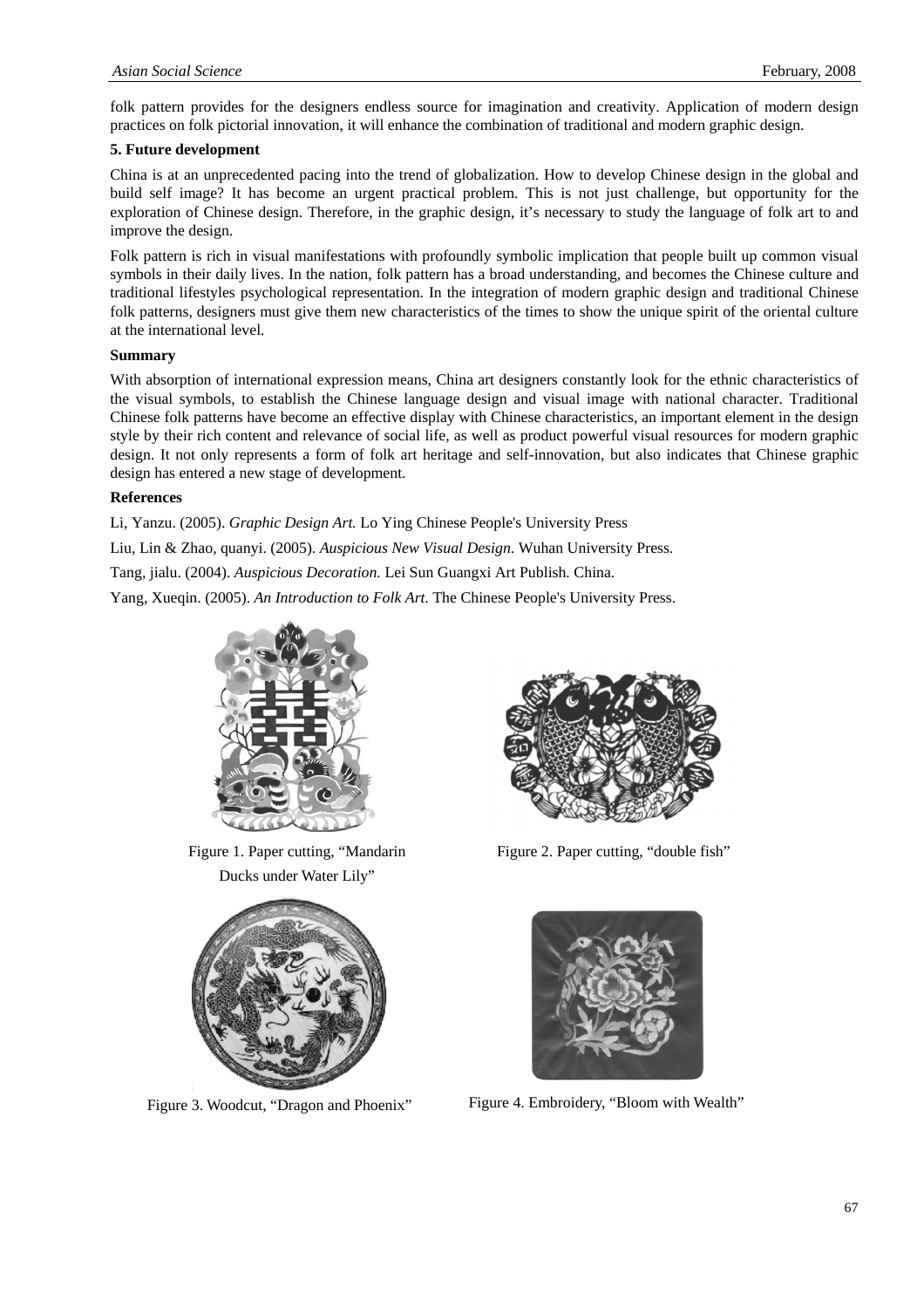folk pattern provides for the designers endless source for imagination and creativity. Application of modern design practices on folk pictorial innovation, it will enhance the combination of traditional and modern graphic design.

## **5. Future development**

China is at an unprecedented pacing into the trend of globalization. How to develop Chinese design in the global and build self image? It has become an urgent practical problem. This is not just challenge, but opportunity for the exploration of Chinese design. Therefore, in the graphic design, it's necessary to study the language of folk art to and improve the design.

Folk pattern is rich in visual manifestations with profoundly symbolic implication that people built up common visual symbols in their daily lives. In the nation, folk pattern has a broad understanding, and becomes the Chinese culture and traditional lifestyles psychological representation. In the integration of modern graphic design and traditional Chinese folk patterns, designers must give them new characteristics of the times to show the unique spirit of the oriental culture at the international level.

## **Summary**

With absorption of international expression means, China art designers constantly look for the ethnic characteristics of the visual symbols, to establish the Chinese language design and visual image with national character. Traditional Chinese folk patterns have become an effective display with Chinese characteristics, an important element in the design style by their rich content and relevance of social life, as well as product powerful visual resources for modern graphic design. It not only represents a form of folk art heritage and self-innovation, but also indicates that Chinese graphic design has entered a new stage of development.

## **References**

Li, Yanzu. (2005). *Graphic Design Art.* Lo Ying Chinese People's University Press

Liu, Lin & Zhao, quanyi. (2005). *Auspicious New Visual Design*. Wuhan University Press.

Tang, jialu. (2004). *Auspicious Decoration.* Lei Sun Guangxi Art Publish. China.

Yang, Xueqin. (2005). *An Introduction to Folk Art*. The Chinese People's University Press.



Figure 1. Paper cutting, "Mandarin Ducks under Water Lily"





Figure 2. Paper cutting, "double fish"



Figure 3. Woodcut, "Dragon and Phoenix" Figure 4. Embroidery, "Bloom with Wealth"